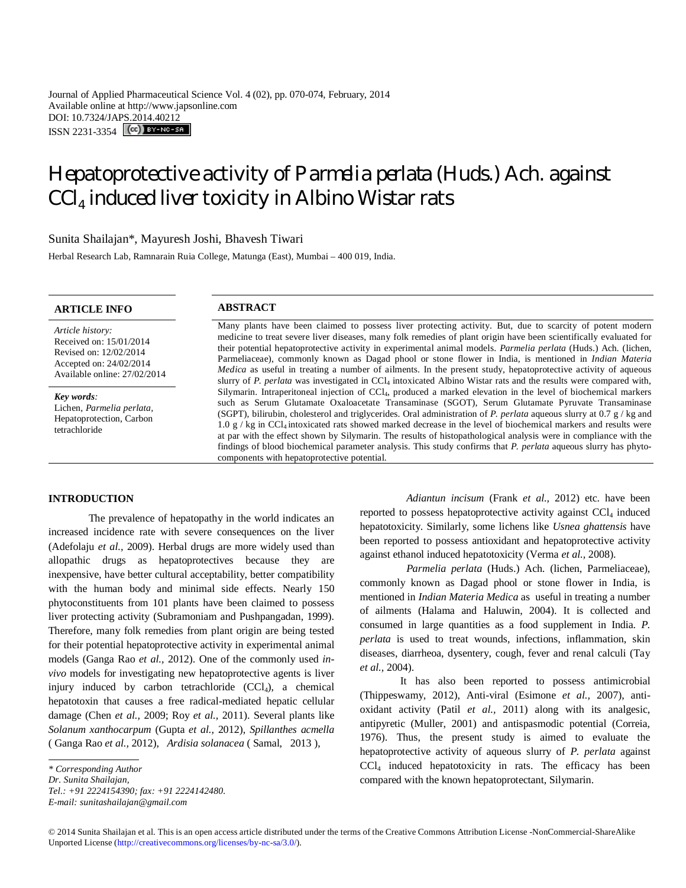Journal of Applied Pharmaceutical Science Vol. 4 (02), pp. 070-074, February, 2014 Available online at http://www.japsonline.com DOI: 10.7324/JAPS.2014.40212 ISSN 2231-3354 **CC**) BY-NC-SA

# Hepatoprotective activity of *Parmelia perlata* (Huds.) Ach. against  $\mathtt{CCl}_4$  induced liver toxicity in Albino Wistar rats

Sunita Shailajan\*, Mayuresh Joshi, Bhavesh Tiwari

Herbal Research Lab, Ramnarain Ruia College, Matunga (East), Mumbai – 400 019, India.

# **ARTICLE INFO ABSTRACT**

*Article history:* Received on: 15/01/2014 Revised on: 12/02/2014 Accepted on: 24/02/2014 Available online: 27/02/2014

*Key words:*  Lichen, *Parmelia perlata,* Hepatoprotection, Carbon tetrachloride

Many plants have been claimed to possess liver protecting activity. But, due to scarcity of potent modern medicine to treat severe liver diseases, many folk remedies of plant origin have been scientifically evaluated for their potential hepatoprotective activity in experimental animal models. *Parmelia perlata* (Huds.) Ach*.* (lichen, Parmeliaceae), commonly known as Dagad phool or stone flower in India, is mentioned in *Indian Materia Medica* as useful in treating a number of ailments. In the present study, hepatoprotective activity of aqueous slurry of *P. perlata* was investigated in CCl<sup>4</sup> intoxicated Albino Wistar rats and the results were compared with, Silymarin. Intraperitoneal injection of CCl4, produced a marked elevation in the level of biochemical markers such as Serum Glutamate Oxaloacetate Transaminase (SGOT), Serum Glutamate Pyruvate Transaminase (SGPT), bilirubin, cholesterol and triglycerides. Oral administration of *P. perlata* aqueous slurry at 0.7 g / kg and 1.0 g / kg in CCl4 intoxicated rats showed marked decrease in the level of biochemical markers and results were at par with the effect shown by Silymarin. The results of histopathological analysis were in compliance with the findings of blood biochemical parameter analysis. This study confirms that *P. perlata* aqueous slurry has phytocomponents with hepatoprotective potential.

# **INTRODUCTION**

The prevalence of hepatopathy in the world indicates an increased incidence rate with severe consequences on the liver (Adefolaju *et al.,* 2009). Herbal drugs are more widely used than allopathic drugs as hepatoprotectives because they are inexpensive, have better cultural acceptability, better compatibility with the human body and minimal side effects. Nearly 150 phytoconstituents from 101 plants have been claimed to possess liver protecting activity (Subramoniam and Pushpangadan, 1999). Therefore, many folk remedies from plant origin are being tested for their potential hepatoprotective activity in experimental animal models (Ganga Rao *et al.,* 2012). One of the commonly used *invivo* models for investigating new hepatoprotective agents is liver injury induced by carbon tetrachloride  $(CCl<sub>4</sub>)$ , a chemical hepatotoxin that causes a free radical-mediated hepatic cellular damage (Chen *et al.,* 2009; Roy *et al.,* 2011). Several plants like *Solanum xanthocarpum* (Gupta *et al.,* 2012), *Spillanthes acmella*  ( Ganga Rao *et al.,* 2012), *Ardisia solanacea* ( Samal, 2013 ),

*Tel.: +91 2224154390; fax: +91 2224142480.*

*E-mail: sunitashailajan@gmail.com*

*Adiantun incisum* (Frank *et al.,* 2012) etc. have been reported to possess hepatoprotective activity against  $CCl<sub>4</sub>$  induced hepatotoxicity. Similarly, some lichens like *Usnea ghattensis* have been reported to possess antioxidant and hepatoprotective activity against ethanol induced hepatotoxicity (Verma *et al.,* 2008).

*Parmelia perlata* (Huds.) Ach*.* (lichen, Parmeliaceae), commonly known as Dagad phool or stone flower in India, is mentioned in *Indian Materia Medica* as useful in treating a number of ailments (Halama and Haluwin, 2004). It is collected and consumed in large quantities as a food supplement in India. *P. perlata* is used to treat wounds, infections, inflammation, skin diseases, diarrheoa, dysentery, cough, fever and renal calculi (Tay *et al.,* 2004).

It has also been reported to possess antimicrobial (Thippeswamy, 2012), Anti-viral (Esimone *et al.,* 2007), antioxidant activity (Patil *et al.,* 2011) along with its analgesic, antipyretic (Muller, 2001) and antispasmodic potential (Correia, 1976). Thus, the present study is aimed to evaluate the hepatoprotective activity of aqueous slurry of *P. perlata* against CCl<sup>4</sup> induced hepatotoxicity in rats. The efficacy has been compared with the known hepatoprotectant, Silymarin.

*<sup>\*</sup> Corresponding Author*

*Dr. Sunita Shailajan,*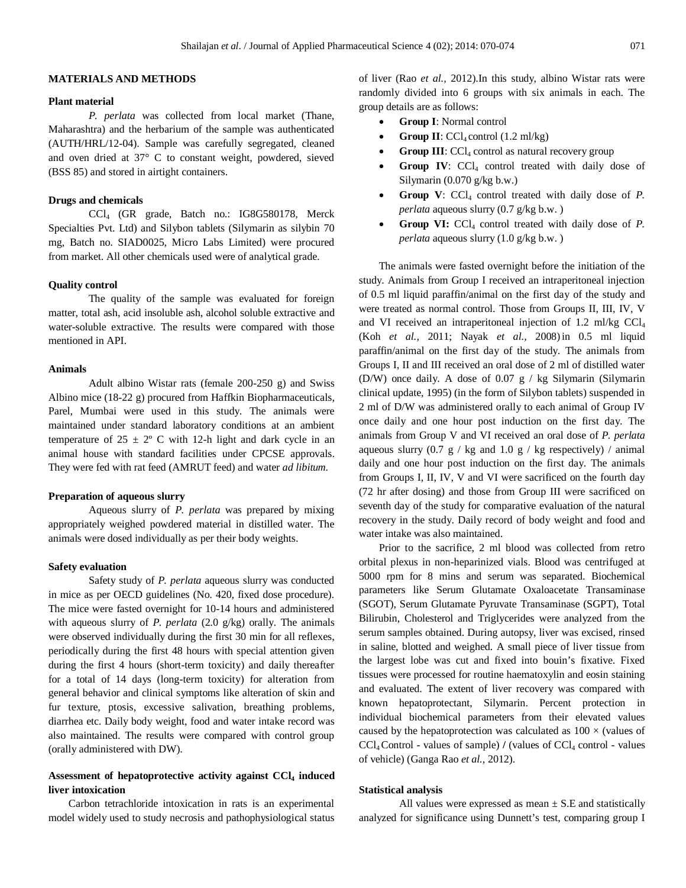### **MATERIALS AND METHODS**

# **Plant material**

*P. perlata* was collected from local market (Thane, Maharashtra) and the herbarium of the sample was authenticated (AUTH/HRL/12-04). Sample was carefully segregated, cleaned and oven dried at 37° C to constant weight, powdered, sieved (BSS 85) and stored in airtight containers.

#### **Drugs and chemicals**

CCl<sup>4</sup> (GR grade, Batch no.: IG8G580178, Merck Specialties Pvt. Ltd) and Silybon tablets (Silymarin as silybin 70 mg, Batch no. SIAD0025, Micro Labs Limited) were procured from market. All other chemicals used were of analytical grade.

### **Quality control**

The quality of the sample was evaluated for foreign matter, total ash, acid insoluble ash, alcohol soluble extractive and water-soluble extractive. The results were compared with those mentioned in API.

#### **Animals**

Adult albino Wistar rats (female 200-250 g) and Swiss Albino mice (18-22 g) procured from Haffkin Biopharmaceuticals, Parel, Mumbai were used in this study. The animals were maintained under standard laboratory conditions at an ambient temperature of  $25 \pm 2$ ° C with 12-h light and dark cycle in an animal house with standard facilities under CPCSE approvals. They were fed with rat feed (AMRUT feed) and water *ad libitum.*

#### **Preparation of aqueous slurry**

Aqueous slurry of *P. perlata* was prepared by mixing appropriately weighed powdered material in distilled water. The animals were dosed individually as per their body weights.

# **Safety evaluation**

Safety study of *P. perlata* aqueous slurry was conducted in mice as per OECD guidelines (No. 420, fixed dose procedure). The mice were fasted overnight for 10-14 hours and administered with aqueous slurry of *P. perlata* (2.0 g/kg) orally. The animals were observed individually during the first 30 min for all reflexes, periodically during the first 48 hours with special attention given during the first 4 hours (short-term toxicity) and daily thereafter for a total of 14 days (long-term toxicity) for alteration from general behavior and clinical symptoms like alteration of skin and fur texture, ptosis, excessive salivation, breathing problems, diarrhea etc. Daily body weight, food and water intake record was also maintained. The results were compared with control group (orally administered with DW).

# **Assessment of hepatoprotective activity against CCl<sup>4</sup> induced liver intoxication**

Carbon tetrachloride intoxication in rats is an experimental model widely used to study necrosis and pathophysiological status of liver (Rao *et al.,* 2012).In this study, albino Wistar rats were randomly divided into 6 groups with six animals in each. The group details are as follows:

- **Group I**: Normal control
- **Group II**:  $\text{CCl}_4$  control  $(1.2 \text{ ml/kg})$
- **Group III**:  $\text{CCl}_4$  control as natural recovery group
- **Group IV:** CCl<sub>4</sub> control treated with daily dose of Silymarin (0.070 g/kg b.w.)
- Group V: CCl<sub>4</sub> control treated with daily dose of *P*. *perlata* aqueous slurry (0.7 g/kg b.w. )
- Group VI: CCl<sub>4</sub> control treated with daily dose of *P*. *perlata* aqueous slurry (1.0 g/kg b.w. )

The animals were fasted overnight before the initiation of the study. Animals from Group I received an intraperitoneal injection of 0.5 ml liquid paraffin/animal on the first day of the study and were treated as normal control. Those from Groups II, III, IV, V and VI received an intraperitoneal injection of  $1.2 \text{ m}$ /kg CCl<sub>4</sub> (Koh *et al.,* 2011; Nayak *et al.,* 2008)in 0.5 ml liquid paraffin/animal on the first day of the study. The animals from Groups I, II and III received an oral dose of 2 ml of distilled water (D/W) once daily. A dose of 0.07 g / kg Silymarin (Silymarin clinical update, 1995) (in the form of Silybon tablets) suspended in 2 ml of D/W was administered orally to each animal of Group IV once daily and one hour post induction on the first day. The animals from Group V and VI received an oral dose of *P. perlata* aqueous slurry  $(0.7 \text{ g} / \text{ kg and } 1.0 \text{ g} / \text{ kg respectively})$  / animal daily and one hour post induction on the first day. The animals from Groups I, II, IV, V and VI were sacrificed on the fourth day (72 hr after dosing) and those from Group III were sacrificed on seventh day of the study for comparative evaluation of the natural recovery in the study. Daily record of body weight and food and water intake was also maintained.

Prior to the sacrifice, 2 ml blood was collected from retro orbital plexus in non-heparinized vials. Blood was centrifuged at 5000 rpm for 8 mins and serum was separated. Biochemical parameters like Serum Glutamate Oxaloacetate Transaminase (SGOT), Serum Glutamate Pyruvate Transaminase (SGPT), Total Bilirubin, Cholesterol and Triglycerides were analyzed from the serum samples obtained. During autopsy, liver was excised, rinsed in saline, blotted and weighed. A small piece of liver tissue from the largest lobe was cut and fixed into bouin's fixative. Fixed tissues were processed for routine haematoxylin and eosin staining and evaluated. The extent of liver recovery was compared with known hepatoprotectant, Silymarin. Percent protection in individual biochemical parameters from their elevated values caused by the hepatoprotection was calculated as  $100 \times$  (values of  $CCl_4$  Control - values of sample)  $\ell$  (values of  $CCl_4$  control - values of vehicle) (Ganga Rao *et al.,* 2012).

# **Statistical analysis**

All values were expressed as mean  $\pm$  S.E and statistically analyzed for significance using Dunnett's test, comparing group I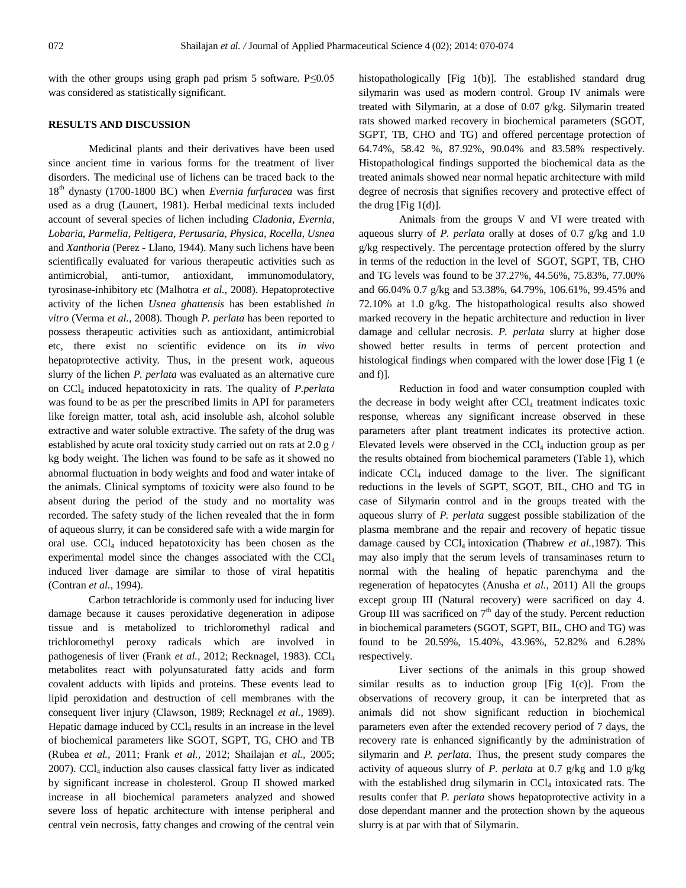with the other groups using graph pad prism 5 software. P≤0.05 was considered as statistically significant.

# **RESULTS AND DISCUSSION**

Medicinal plants and their derivatives have been used since ancient time in various forms for the treatment of liver disorders. The medicinal use of lichens can be traced back to the 18th dynasty (1700-1800 BC) when *Evernia furfuracea* was first used as a drug (Launert, 1981). Herbal medicinal texts included account of several species of lichen including *Cladonia, Evernia, Lobaria, Parmelia, Peltigera, Pertusaria, Physica, Rocella, Usnea*  and *Xanthoria* (Perez - Llano, 1944). Many such lichens have been scientifically evaluated for various therapeutic activities such as antimicrobial, anti-tumor, antioxidant, immunomodulatory, tyrosinase-inhibitory etc (Malhotra *et al.,* 2008). Hepatoprotective activity of the lichen *Usnea ghattensis* has been established *in vitro* (Verma *et al.,* 2008). Though *P. perlata* has been reported to possess therapeutic activities such as antioxidant, antimicrobial etc, there exist no scientific evidence on its *in vivo* hepatoprotective activity*.* Thus, in the present work, aqueous slurry of the lichen *P. perlata* was evaluated as an alternative cure on CCl<sup>4</sup> induced hepatotoxicity in rats. The quality of *P.perlata* was found to be as per the prescribed limits in API for parameters like foreign matter, total ash, acid insoluble ash, alcohol soluble extractive and water soluble extractive. The safety of the drug was established by acute oral toxicity study carried out on rats at 2.0 g / kg body weight. The lichen was found to be safe as it showed no abnormal fluctuation in body weights and food and water intake of the animals. Clinical symptoms of toxicity were also found to be absent during the period of the study and no mortality was recorded. The safety study of the lichen revealed that the in form of aqueous slurry, it can be considered safe with a wide margin for oral use.  $CCl<sub>4</sub>$  induced hepatotoxicity has been chosen as the experimental model since the changes associated with the  $\text{CCl}_4$ induced liver damage are similar to those of viral hepatitis (Contran *et al.,* 1994).

Carbon tetrachloride is commonly used for inducing liver damage because it causes peroxidative degeneration in adipose tissue and is metabolized to trichloromethyl radical and trichloromethyl peroxy radicals which are involved in pathogenesis of liver (Frank et al., 2012; Recknagel, 1983). CCl<sub>4</sub> metabolites react with polyunsaturated fatty acids and form covalent adducts with lipids and proteins. These events lead to lipid peroxidation and destruction of cell membranes with the consequent liver injury (Clawson, 1989; Recknagel *et al.,* 1989). Hepatic damage induced by  $CCl_4$  results in an increase in the level of biochemical parameters like SGOT, SGPT, TG, CHO and TB (Rubea *et al.,* 2011; Frank *et al.,* 2012; Shailajan *et al.,* 2005;  $2007$ ). CCl<sub>4</sub> induction also causes classical fatty liver as indicated by significant increase in cholesterol. Group II showed marked increase in all biochemical parameters analyzed and showed severe loss of hepatic architecture with intense peripheral and central vein necrosis, fatty changes and crowing of the central vein histopathologically [Fig 1(b)]. The established standard drug silymarin was used as modern control. Group IV animals were treated with Silymarin, at a dose of 0.07 g/kg. Silymarin treated rats showed marked recovery in biochemical parameters (SGOT, SGPT, TB, CHO and TG) and offered percentage protection of 64.74%, 58.42 %, 87.92%, 90.04% and 83.58% respectively. Histopathological findings supported the biochemical data as the treated animals showed near normal hepatic architecture with mild degree of necrosis that signifies recovery and protective effect of the drug  $[Fig 1(d)]$ .

Animals from the groups V and VI were treated with aqueous slurry of *P. perlata* orally at doses of 0.7 g/kg and 1.0 g/kg respectively. The percentage protection offered by the slurry in terms of the reduction in the level of SGOT, SGPT, TB, CHO and TG levels was found to be 37.27%, 44.56%, 75.83%, 77.00% and 66.04% 0.7 g/kg and 53.38%, 64.79%, 106.61%, 99.45% and 72.10% at 1.0 g/kg. The histopathological results also showed marked recovery in the hepatic architecture and reduction in liver damage and cellular necrosis. *P. perlata* slurry at higher dose showed better results in terms of percent protection and histological findings when compared with the lower dose [Fig 1 (e and f)].

Reduction in food and water consumption coupled with the decrease in body weight after  $CCl<sub>4</sub>$  treatment indicates toxic response, whereas any significant increase observed in these parameters after plant treatment indicates its protective action. Elevated levels were observed in the  $CCl<sub>4</sub>$  induction group as per the results obtained from biochemical parameters (Table 1), which indicate  $\text{Cl}_4$  induced damage to the liver. The significant reductions in the levels of SGPT, SGOT, BIL, CHO and TG in case of Silymarin control and in the groups treated with the aqueous slurry of *P. perlata* suggest possible stabilization of the plasma membrane and the repair and recovery of hepatic tissue damage caused by CCl<sub>4</sub> intoxication (Thabrew *et al.*, 1987). This may also imply that the serum levels of transaminases return to normal with the healing of hepatic parenchyma and the regeneration of hepatocytes (Anusha *et al.,* 2011) All the groups except group III (Natural recovery) were sacrificed on day 4. Group III was sacrificed on  $7<sup>th</sup>$  day of the study. Percent reduction in biochemical parameters (SGOT, SGPT, BIL, CHO and TG) was found to be 20.59%, 15.40%, 43.96%, 52.82% and 6.28% respectively.

Liver sections of the animals in this group showed similar results as to induction group [Fig 1(c)]. From the observations of recovery group, it can be interpreted that as animals did not show significant reduction in biochemical parameters even after the extended recovery period of 7 days, the recovery rate is enhanced significantly by the administration of silymarin and *P. perlata.* Thus, the present study compares the activity of aqueous slurry of *P. perlata* at 0.7 g/kg and 1.0 g/kg with the established drug silymarin in  $CCl<sub>4</sub>$  intoxicated rats. The results confer that *P. perlata* shows hepatoprotective activity in a dose dependant manner and the protection shown by the aqueous slurry is at par with that of Silymarin.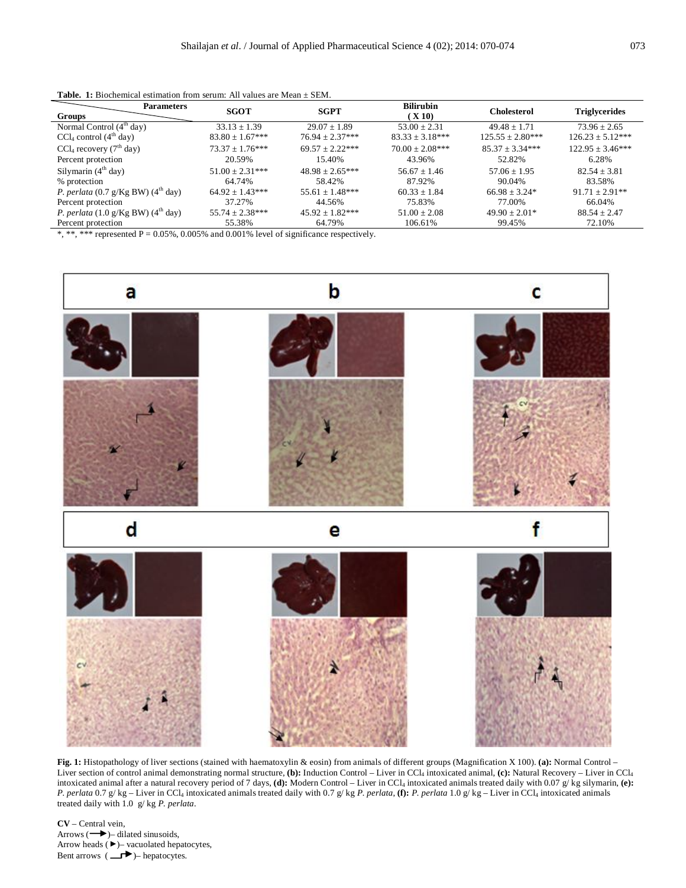| Groups                                                          | <b>Parameters</b> | <b>SGOT</b>         | <b>SGPT</b>                                                                                                                                                                                                                                                                                                         | <b>Bilirubin</b><br>(X10) | <b>Cholesterol</b>   | Triglycerides        |
|-----------------------------------------------------------------|-------------------|---------------------|---------------------------------------------------------------------------------------------------------------------------------------------------------------------------------------------------------------------------------------------------------------------------------------------------------------------|---------------------------|----------------------|----------------------|
| Normal Control $(4th day)$                                      |                   | $33.13 \pm 1.39$    | $29.07 + 1.89$                                                                                                                                                                                                                                                                                                      | $53.00 \pm 2.31$          | $49.48 + 1.71$       | $73.96 + 2.65$       |
|                                                                 |                   |                     |                                                                                                                                                                                                                                                                                                                     |                           |                      |                      |
| $CCl4$ control (4 <sup>th</sup> day)                            |                   | $83.80 \pm 1.67***$ | $76.94 \pm 2.37***$                                                                                                                                                                                                                                                                                                 | $83.33 \pm 3.18***$       | $125.55 \pm 2.80***$ | $126.23 \pm 5.12***$ |
| CCl <sub>4</sub> recovery $(7th$ day)                           |                   | $73.37 + 1.76***$   | $69.57 + 2.22***$                                                                                                                                                                                                                                                                                                   | $70.00 + 2.08***$         | $85.37 + 3.34***$    | $122.95 \pm 3.46***$ |
| Percent protection                                              |                   | 20.59%              | 15.40%                                                                                                                                                                                                                                                                                                              | 43.96%                    | 52.82%               | 6.28%                |
| Silymarin $(4th$ day)                                           |                   | $51.00 \pm 2.31***$ | $48.98 \pm 2.65***$                                                                                                                                                                                                                                                                                                 | $56.67 + 1.46$            | $57.06 \pm 1.95$     | $82.54 + 3.81$       |
| % protection                                                    |                   | 64.74%              | 58.42%                                                                                                                                                                                                                                                                                                              | 87.92%                    | 90.04%               | 83.58%               |
| <i>P. perlata</i> (0.7 g/Kg BW) ( $4th$ day)                    |                   | $64.92 \pm 1.43***$ | $55.61 \pm 1.48***$                                                                                                                                                                                                                                                                                                 | $60.33 \pm 1.84$          | $66.98 \pm 3.24*$    | $91.71 \pm 2.91**$   |
| Percent protection                                              |                   | 37.27%              | 44.56%                                                                                                                                                                                                                                                                                                              | 75.83%                    | 77.00%               | 66.04%               |
| <i>P. perlata</i> $(1.0 \text{ g/Kg BW})$ $(4^{\text{th}}$ day) |                   | $55.74 \pm 2.38***$ | $45.92 \pm 1.82***$                                                                                                                                                                                                                                                                                                 | $51.00 \pm 2.08$          | $49.90 \pm 2.01*$    | $88.54 \pm 2.47$     |
| Percent protection                                              |                   | 55.38%              | 64.79%                                                                                                                                                                                                                                                                                                              | 106.61%                   | 99.45%               | 72.10%               |
|                                                                 |                   |                     | $\frac{1}{2}$ $\frac{1}{2}$ $\frac{1}{2}$ $\frac{1}{2}$ $\frac{1}{2}$ $\frac{1}{2}$ $\frac{1}{2}$ $\frac{1}{2}$ $\frac{1}{2}$ $\frac{1}{2}$ $\frac{1}{2}$ $\frac{1}{2}$ $\frac{1}{2}$ $\frac{1}{2}$ $\frac{1}{2}$ $\frac{1}{2}$ $\frac{1}{2}$ $\frac{1}{2}$ $\frac{1}{2}$ $\frac{1}{2}$ $\frac{1}{2}$ $\frac{1}{2}$ |                           |                      |                      |

|  | <b>Table. 1:</b> Biochemical estimation from serum: All values are Mean $\pm$ SEM. |  |  |  |  |
|--|------------------------------------------------------------------------------------|--|--|--|--|
|--|------------------------------------------------------------------------------------|--|--|--|--|

\*, \*\*\* represented  $P = 0.05\%$ , 0.005% and 0.001% level of significance respectively.



**Fig. 1:** Histopathology of liver sections (stained with haematoxylin & eosin) from animals of different groups (Magnification X 100). **(a):** Normal Control – Liver section of control animal demonstrating normal structure, **(b):** Induction Control – Liver in CCl<sup>4</sup> intoxicated animal, **(c):** Natural Recovery – Liver in CCl<sup>4</sup> intoxicated animal after a natural recovery period of 7 days, (d): Modern Control – Liver in CCl<sub>4</sub> intoxicated animals treated daily with 0.07 g/ kg silymarin, (e): *P. perlata* 0.7 g/ kg – Liver in CCl<sup>4</sup> intoxicated animals treated daily with 0.7 g/ kg *P. perlata*, **(f):** *P. perlata* 1.0 g/ kg – Liver in CCl<sup>4</sup> intoxicated animals treated daily with 1.0 g/ kg *P. perlata*.

**CV** – Central vein, Arrows  $(\rightarrow)$ – dilated sinusoids, Arrow heads  $( \blacktriangleright )$  - vacuolated hepatocytes, Bent arrows  $(\Box \rightarrow)$ – hepatocytes.